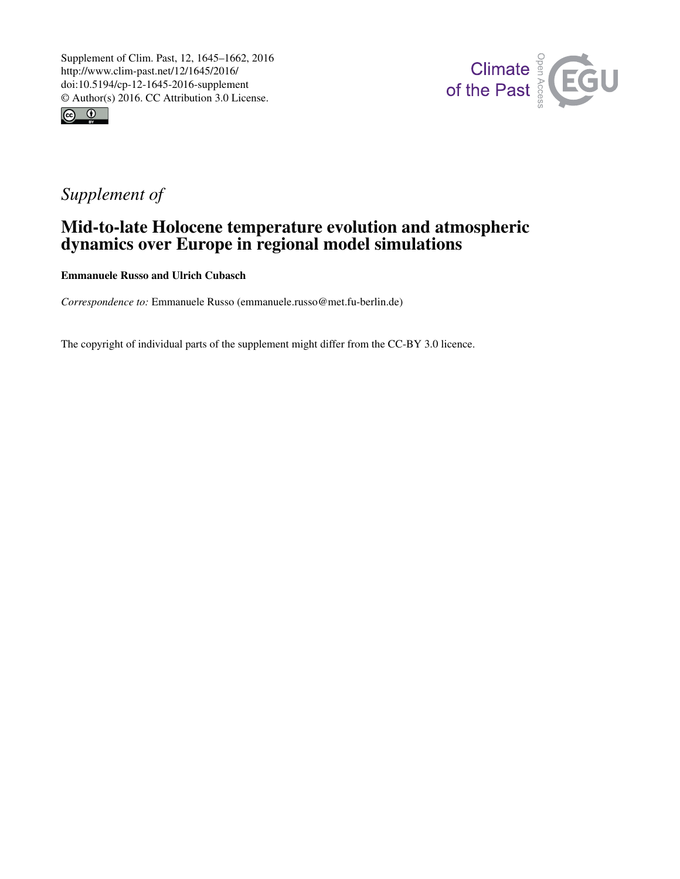



## *Supplement of*

## Mid-to-late Holocene temperature evolution and atmospheric dynamics over Europe in regional model simulations

Emmanuele Russo and Ulrich Cubasch

*Correspondence to:* Emmanuele Russo (emmanuele.russo@met.fu-berlin.de)

The copyright of individual parts of the supplement might differ from the CC-BY 3.0 licence.